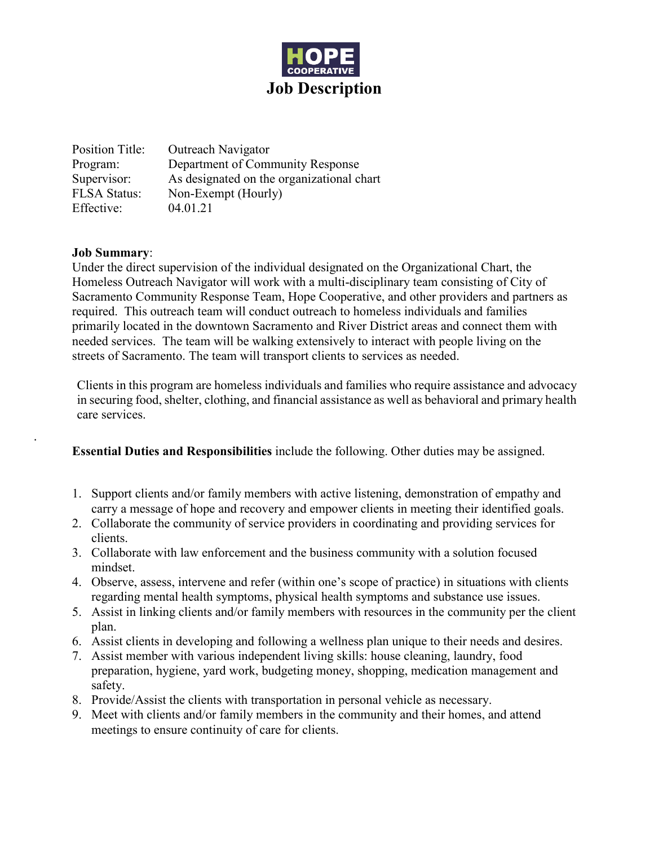

Position Title: Outreach Navigator Program: Department of Community Response Supervisor: As designated on the organizational chart FLSA Status: Non-Exempt (Hourly) Effective: 04.01.21

#### **Job Summary**:

.

Under the direct supervision of the individual designated on the Organizational Chart, the Homeless Outreach Navigator will work with a multi-disciplinary team consisting of City of Sacramento Community Response Team, Hope Cooperative, and other providers and partners as required. This outreach team will conduct outreach to homeless individuals and families primarily located in the downtown Sacramento and River District areas and connect them with needed services. The team will be walking extensively to interact with people living on the streets of Sacramento. The team will transport clients to services as needed.

Clients in this program are homeless individuals and families who require assistance and advocacy in securing food, shelter, clothing, and financial assistance as well as behavioral and primary health care services.

**Essential Duties and Responsibilities** include the following. Other duties may be assigned.

- 1. Support clients and/or family members with active listening, demonstration of empathy and carry a message of hope and recovery and empower clients in meeting their identified goals.
- 2. Collaborate the community of service providers in coordinating and providing services for clients.
- 3. Collaborate with law enforcement and the business community with a solution focused mindset.
- 4. Observe, assess, intervene and refer (within one's scope of practice) in situations with clients regarding mental health symptoms, physical health symptoms and substance use issues.
- 5. Assist in linking clients and/or family members with resources in the community per the client plan.
- 6. Assist clients in developing and following a wellness plan unique to their needs and desires.
- 7. Assist member with various independent living skills: house cleaning, laundry, food preparation, hygiene, yard work, budgeting money, shopping, medication management and safety.
- 8. Provide/Assist the clients with transportation in personal vehicle as necessary.
- 9. Meet with clients and/or family members in the community and their homes, and attend meetings to ensure continuity of care for clients.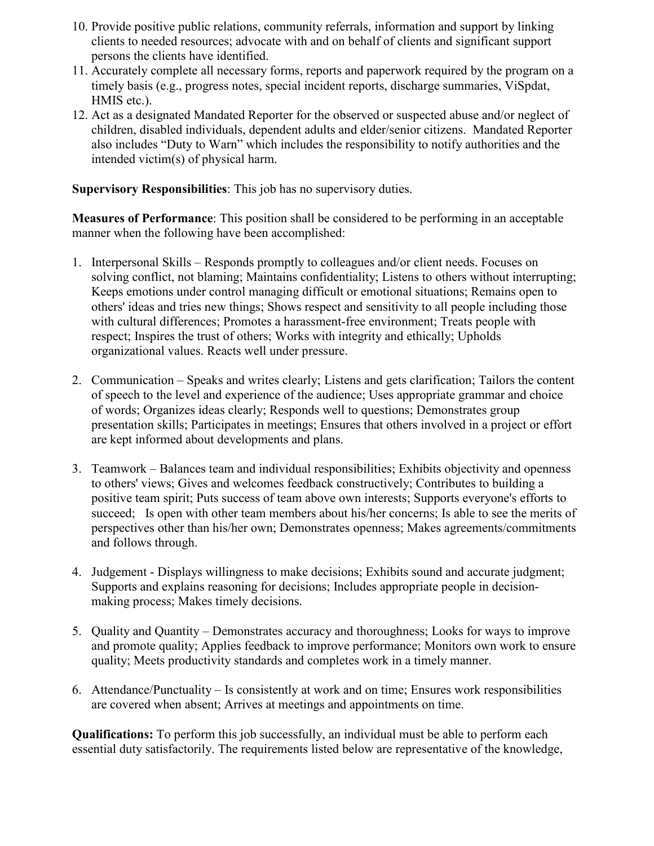- 10. Provide positive public relations, community referrals, information and support by linking clients to needed resources; advocate with and on behalf of clients and significant support persons the clients have identified.
- 11. Accurately complete all necessary forms, reports and paperwork required by the program on a timely basis (e.g., progress notes, special incident reports, discharge summaries, ViSpdat, HMIS etc.).
- 12. Act as a designated Mandated Reporter for the observed or suspected abuse and/or neglect of children, disabled individuals, dependent adults and elder/senior citizens. Mandated Reporter also includes "Duty to Warn" which includes the responsibility to notify authorities and the intended victim(s) of physical harm.

**Supervisory Responsibilities**: This job has no supervisory duties.

**Measures of Performance**: This position shall be considered to be performing in an acceptable manner when the following have been accomplished:

- 1. Interpersonal Skills Responds promptly to colleagues and/or client needs. Focuses on solving conflict, not blaming; Maintains confidentiality; Listens to others without interrupting; Keeps emotions under control managing difficult or emotional situations; Remains open to others' ideas and tries new things; Shows respect and sensitivity to all people including those with cultural differences; Promotes a harassment-free environment; Treats people with respect; Inspires the trust of others; Works with integrity and ethically; Upholds organizational values. Reacts well under pressure.
- 2. Communication Speaks and writes clearly; Listens and gets clarification; Tailors the content of speech to the level and experience of the audience; Uses appropriate grammar and choice of words; Organizes ideas clearly; Responds well to questions; Demonstrates group presentation skills; Participates in meetings; Ensures that others involved in a project or effort are kept informed about developments and plans.
- 3. Teamwork Balances team and individual responsibilities; Exhibits objectivity and openness to others' views; Gives and welcomes feedback constructively; Contributes to building a positive team spirit; Puts success of team above own interests; Supports everyone's efforts to succeed; Is open with other team members about his/her concerns; Is able to see the merits of perspectives other than his/her own; Demonstrates openness; Makes agreements/commitments and follows through.
- 4. Judgement Displays willingness to make decisions; Exhibits sound and accurate judgment; Supports and explains reasoning for decisions; Includes appropriate people in decisionmaking process; Makes timely decisions.
- 5. Quality and Quantity Demonstrates accuracy and thoroughness; Looks for ways to improve and promote quality; Applies feedback to improve performance; Monitors own work to ensure quality; Meets productivity standards and completes work in a timely manner.
- 6. Attendance/Punctuality Is consistently at work and on time; Ensures work responsibilities are covered when absent; Arrives at meetings and appointments on time.

**Qualifications:** To perform this job successfully, an individual must be able to perform each essential duty satisfactorily. The requirements listed below are representative of the knowledge,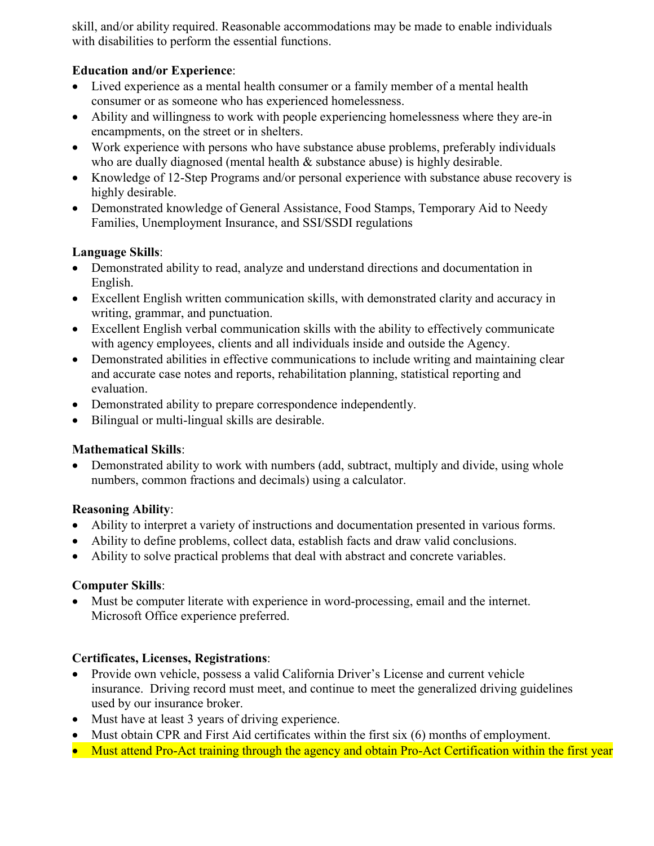skill, and/or ability required. Reasonable accommodations may be made to enable individuals with disabilities to perform the essential functions.

#### **Education and/or Experience**:

- Lived experience as a mental health consumer or a family member of a mental health consumer or as someone who has experienced homelessness.
- Ability and willingness to work with people experiencing homelessness where they are-in encampments, on the street or in shelters.
- Work experience with persons who have substance abuse problems, preferably individuals who are dually diagnosed (mental health & substance abuse) is highly desirable.
- Knowledge of 12-Step Programs and/or personal experience with substance abuse recovery is highly desirable.
- Demonstrated knowledge of General Assistance, Food Stamps, Temporary Aid to Needy Families, Unemployment Insurance, and SSI/SSDI regulations

# **Language Skills**:

- Demonstrated ability to read, analyze and understand directions and documentation in English.
- Excellent English written communication skills, with demonstrated clarity and accuracy in writing, grammar, and punctuation.
- Excellent English verbal communication skills with the ability to effectively communicate with agency employees, clients and all individuals inside and outside the Agency.
- Demonstrated abilities in effective communications to include writing and maintaining clear and accurate case notes and reports, rehabilitation planning, statistical reporting and evaluation.
- Demonstrated ability to prepare correspondence independently.
- Bilingual or multi-lingual skills are desirable.

# **Mathematical Skills**:

• Demonstrated ability to work with numbers (add, subtract, multiply and divide, using whole numbers, common fractions and decimals) using a calculator.

# **Reasoning Ability**:

- Ability to interpret a variety of instructions and documentation presented in various forms.
- Ability to define problems, collect data, establish facts and draw valid conclusions.
- Ability to solve practical problems that deal with abstract and concrete variables.

# **Computer Skills**:

• Must be computer literate with experience in word-processing, email and the internet. Microsoft Office experience preferred.

# **Certificates, Licenses, Registrations**:

- Provide own vehicle, possess a valid California Driver's License and current vehicle insurance. Driving record must meet, and continue to meet the generalized driving guidelines used by our insurance broker.
- Must have at least 3 years of driving experience.
- Must obtain CPR and First Aid certificates within the first six (6) months of employment.
- Must attend Pro-Act training through the agency and obtain Pro-Act Certification within the first year